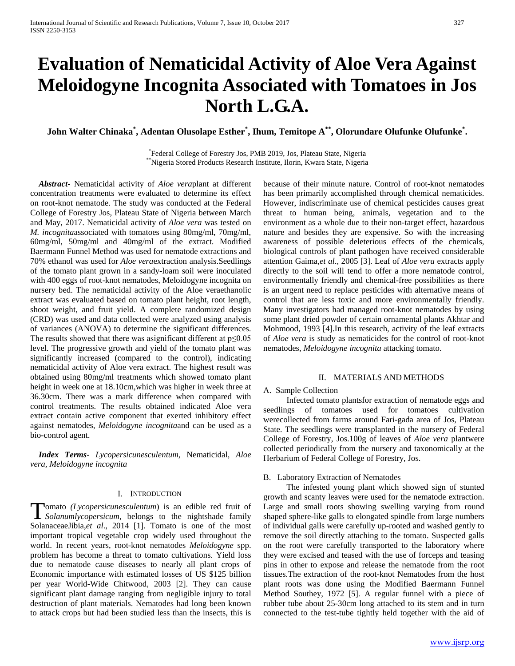# **Evaluation of Nematicidal Activity of Aloe Vera Against Meloidogyne Incognita Associated with Tomatoes in Jos North L.G.A.**

**John Walter Chinaka\* , Adentan Olusolape Esther\* , Ihum, Temitope A\*\*, Olorundare Olufunke Olufunke\* .**

\* Federal College of Forestry Jos, PMB 2019, Jos, Plateau State, Nigeria \*\*Nigeria Stored Products Research Institute, Ilorin, Kwara State, Nigeria

 *Abstract***-** Nematicidal activity of *Aloe vera*plant at different concentration treatments were evaluated to determine its effect on root-knot nematode. The study was conducted at the Federal College of Forestry Jos, Plateau State of Nigeria between March and May, 2017. Nematicidal activity of *Aloe vera* was tested on *M. incognita*associated with tomatoes using 80mg/ml, 70mg/ml, 60mg/ml, 50mg/ml and 40mg/ml of the extract. Modified Baermann Funnel Method was used for nematode extractions and 70% ethanol was used for *Aloe vera*extraction analysis.Seedlings of the tomato plant grown in a sandy-loam soil were inoculated with 400 eggs of root-knot nematodes, Meloidogyne incognita on nursery bed. The nematicidal activity of the Aloe veraethanolic extract was evaluated based on tomato plant height, root length, shoot weight, and fruit yield. A complete randomized design (CRD) was used and data collected were analyzed using analysis of variances (ANOVA) to determine the significant differences. The results showed that there was asignificant different at  $p \le 0.05$ level. The progressive growth and yield of the tomato plant was significantly increased (compared to the control), indicating nematicidal activity of Aloe vera extract. The highest result was obtained using 80mg/ml treatments which showed tomato plant height in week one at 18.10cm,which was higher in week three at 36.30cm. There was a mark difference when compared with control treatments. The results obtained indicated Aloe vera extract contain active component that exerted inhibitory effect against nematodes, *Meloidogyne incognita*and can be used as a bio-control agent.

 *Index Terms*- *Lycopersicunesculentum,* Nematicidal, *Aloe vera, Meloidogyne incognita*

#### I. INTRODUCTION

omato *(Lycopersicunesculentum*) is an edible red fruit of **T**omato (Lycopersicunesculentum) is an edible red fruit of *Solanumlycopersicum*, belongs to the nightshade family SolanaceaeJibia,*et al*., 2014 [1]. Tomato is one of the most important tropical vegetable crop widely used throughout the world. In recent years, root-knot nematodes *Meloidogyne* spp. problem has become a threat to tomato cultivations. Yield loss due to nematode cause diseases to nearly all plant crops of Economic importance with estimated losses of US \$125 billion per year World-Wide Chitwood, 2003 [2]. They can cause significant plant damage ranging from negligible injury to total destruction of plant materials. Nematodes had long been known to attack crops but had been studied less than the insects, this is

because of their minute nature. Control of root-knot nematodes has been primarily accomplished through chemical nematicides. However, indiscriminate use of chemical pesticides causes great threat to human being, animals, vegetation and to the environment as a whole due to their non-target effect, hazardous nature and besides they are expensive. So with the increasing awareness of possible deleterious effects of the chemicals, biological controls of plant pathogen have received considerable attention Gaima,*et al*., 2005 [3]. Leaf of *Aloe vera* extracts apply directly to the soil will tend to offer a more nematode control, environmentally friendly and chemical-free possibilities as there is an urgent need to replace pesticides with alternative means of control that are less toxic and more environmentally friendly. Many investigators had managed root-knot nematodes by using some plant dried powder of certain ornamental plants Akhtar and Mohmood, 1993 [4].In this research, activity of the leaf extracts of *Aloe vera* is study as nematicides for the control of root-knot nematodes, *Meloidogyne incognita* attacking tomato.

#### II. MATERIALS AND METHODS

#### A. Sample Collection

 Infected tomato plantsfor extraction of nematode eggs and seedlings of tomatoes used for tomatoes cultivation werecollected from farms around Fari-gada area of Jos, Plateau State. The seedlings were transplanted in the nursery of Federal College of Forestry, Jos.100g of leaves of *Aloe vera* plantwere collected periodically from the nursery and taxonomically at the Herbarium of Federal College of Forestry, Jos.

#### B. Laboratory Extraction of Nematodes

 The infested young plant which showed sign of stunted growth and scanty leaves were used for the nematode extraction. Large and small roots showing swelling varying from round shaped sphere-like galls to elongated spindle from large numbers of individual galls were carefully up-rooted and washed gently to remove the soil directly attaching to the tomato. Suspected galls on the root were carefully transported to the laboratory where they were excised and teased with the use of forceps and teasing pins in other to expose and release the nematode from the root tissues.The extraction of the root-knot Nematodes from the host plant roots was done using the Modified Baermann Funnel Method Southey, 1972 [5]. A regular funnel with a piece of rubber tube about 25-30cm long attached to its stem and in turn connected to the test-tube tightly held together with the aid of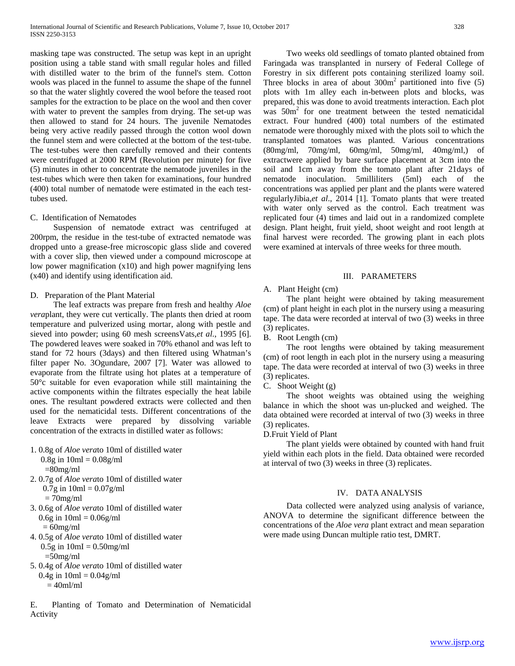masking tape was constructed. The setup was kept in an upright position using a table stand with small regular holes and filled with distilled water to the brim of the funnel's stem. Cotton wools was placed in the funnel to assume the shape of the funnel so that the water slightly covered the wool before the teased root samples for the extraction to be place on the wool and then cover with water to prevent the samples from drying. The set-up was then allowed to stand for 24 hours. The juvenile Nematodes being very active readily passed through the cotton wool down the funnel stem and were collected at the bottom of the test-tube. The test-tubes were then carefully removed and their contents were centrifuged at 2000 RPM (Revolution per minute) for five (5) minutes in other to concentrate the nematode juveniles in the test-tubes which were then taken for examinations, four hundred (400) total number of nematode were estimated in the each testtubes used.

### C. Identification of Nematodes

 Suspension of nematode extract was centrifuged at 200rpm, the residue in the test-tube of extracted nematode was dropped unto a grease-free microscopic glass slide and covered with a cover slip, then viewed under a compound microscope at low power magnification (x10) and high power magnifying lens (x40) and identify using identification aid.

#### D. Preparation of the Plant Material

 The leaf extracts was prepare from fresh and healthy *Aloe vera*plant, they were cut vertically. The plants then dried at room temperature and pulverized using mortar, along with pestle and sieved into powder; using 60 mesh screensVats,*et al*., 1995 [6]. The powdered leaves were soaked in 70% ethanol and was left to stand for 72 hours (3days) and then filtered using Whatman's filter paper No. 3Ogundare, 2007 [7]. Water was allowed to evaporate from the filtrate using hot plates at a temperature of 50°c suitable for even evaporation while still maintaining the active components within the filtrates especially the heat labile ones. The resultant powdered extracts were collected and then used for the nematicidal tests. Different concentrations of the leave Extracts were prepared by dissolving variable concentration of the extracts in distilled water as follows:

- 1. 0.8g of *Aloe vera*to 10ml of distilled water
- $0.8g$  in  $10ml = 0.08g/ml$  $=80$ mg/ml 2. 0.7g of *Aloe vera*to 10ml of distilled water  $0.7g$  in  $10ml = 0.07g/ml$  $= 70$ mg/ml 3. 0.6g of *Aloe vera*to 10ml of distilled water  $0.6g$  in  $10ml = 0.06g/ml$  $= 60$ mg/ml 4. 0.5g of *Aloe vera*to 10ml of distilled water  $0.5g$  in  $10mI = 0.50mg/ml$  $=50$ mg/ml 5. 0.4g of *Aloe vera*to 10ml of distilled water  $0.4g$  in  $10ml = 0.04g/ml$ 
	- $= 40$ ml/ml

E. Planting of Tomato and Determination of Nematicidal Activity

 Two weeks old seedlings of tomato planted obtained from Faringada was transplanted in nursery of Federal College of Forestry in six different pots containing sterilized loamy soil. Three blocks in area of about  $300m<sup>2</sup>$  partitioned into five (5) plots with 1m alley each in-between plots and blocks, was prepared, this was done to avoid treatments interaction. Each plot was  $50m<sup>2</sup>$  for one treatment between the tested nematicidal extract. Four hundred (400) total numbers of the estimated nematode were thoroughly mixed with the plots soil to which the transplanted tomatoes was planted. Various concentrations  $(80mg/ml, 70mg/ml, 60mg/ml, 50mg/ml, 40mg/ml, 60mg/ml,$ extractwere applied by bare surface placement at 3cm into the soil and 1cm away from the tomato plant after 21days of nematode inoculation. 5milliliters (5ml) each of the concentrations was applied per plant and the plants were watered regularlyJibia,*et al*., 2014 [1]. Tomato plants that were treated with water only served as the control. Each treatment was replicated four (4) times and laid out in a randomized complete design. Plant height, fruit yield, shoot weight and root length at final harvest were recorded. The growing plant in each plots were examined at intervals of three weeks for three mouth.

#### III. PARAMETERS

# A. Plant Height (cm)

 The plant height were obtained by taking measurement (cm) of plant height in each plot in the nursery using a measuring tape. The data were recorded at interval of two (3) weeks in three (3) replicates.

B. Root Length (cm)

 The root lengths were obtained by taking measurement (cm) of root length in each plot in the nursery using a measuring tape. The data were recorded at interval of two (3) weeks in three (3) replicates.

C. Shoot Weight (g)

 The shoot weights was obtained using the weighing balance in which the shoot was un-plucked and weighed. The data obtained were recorded at interval of two (3) weeks in three (3) replicates.

# D.Fruit Yield of Plant

 The plant yields were obtained by counted with hand fruit yield within each plots in the field. Data obtained were recorded at interval of two (3) weeks in three (3) replicates.

# IV. DATA ANALYSIS

 Data collected were analyzed using analysis of variance, ANOVA to determine the significant difference between the concentrations of the *Aloe vera* plant extract and mean separation were made using Duncan multiple ratio test, DMRT.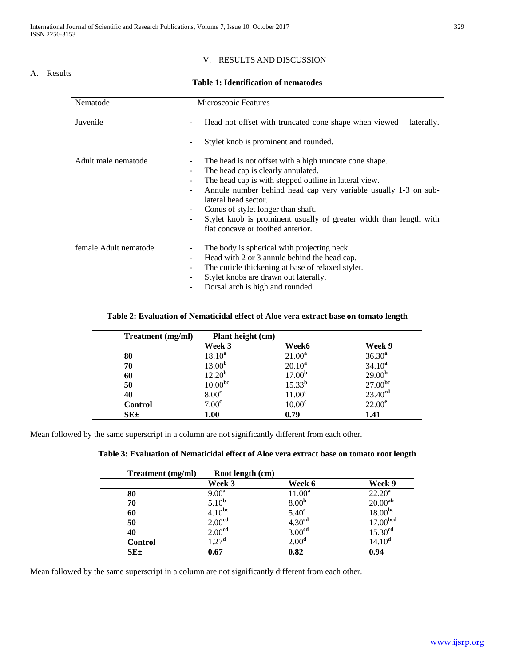## A. Results

# V. RESULTS AND DISCUSSION

# **Table 1: Identification of nematodes**

| Nematode              | Microscopic Features                                                          |
|-----------------------|-------------------------------------------------------------------------------|
|                       |                                                                               |
| Juvenile              | Head not offset with truncated cone shape when viewed<br>laterally.<br>۰      |
|                       |                                                                               |
|                       | Stylet knob is prominent and rounded.                                         |
|                       |                                                                               |
| Adult male nematode   | The head is not offset with a high truncate cone shape.                       |
|                       | The head cap is clearly annulated.<br>۰                                       |
|                       | The head cap is with stepped outline in lateral view.                         |
|                       |                                                                               |
|                       | Annule number behind head cap very variable usually 1-3 on sub-<br>۰          |
|                       | lateral head sector.                                                          |
|                       | Conus of stylet longer than shaft.<br>$\overline{\phantom{a}}$                |
|                       | Stylet knob is prominent usually of greater width than length with<br>-       |
|                       | flat concave or toothed anterior.                                             |
|                       |                                                                               |
| female Adult nematode | The body is spherical with projecting neck.<br>-                              |
|                       | Head with 2 or 3 annule behind the head cap.<br>-                             |
|                       | The cuticle thickening at base of relaxed stylet.<br>$\overline{\phantom{0}}$ |
|                       | Stylet knobs are drawn out laterally.                                         |
|                       | Dorsal arch is high and rounded.<br>۰                                         |
|                       |                                                                               |
|                       |                                                                               |

# **Table 2: Evaluation of Nematicidal effect of Aloe vera extract base on tomato length**

| Treatment (mg/ml) | Plant height (cm)   |                    |                     |
|-------------------|---------------------|--------------------|---------------------|
|                   | Week 3              | Week6              | Week 9              |
| 80                | $18.10^{a}$         | $21.00^a$          | $36.30^{a}$         |
| 70                | 13.00 <sup>b</sup>  | $20.10^a$          | $34.10^{a}$         |
| 60                | $12.20^{b}$         | 17.00 <sup>b</sup> | 29.00 <sup>b</sup>  |
| 50                | 10.00 <sup>bc</sup> | $15.33^{b}$        | 27.00 <sup>bc</sup> |
| 40                | 8.00 <sup>c</sup>   | 11.00 <sup>c</sup> | 23.40 <sup>cd</sup> |
| <b>Control</b>    | 7.00 <sup>c</sup>   | 10.00 <sup>c</sup> | $22.00^e$           |
| $SE_{\pm}$        | 1.00                | 0.79               | 1.41                |

Mean followed by the same superscript in a column are not significantly different from each other.

| Table 3: Evaluation of Nematicidal effect of Aloe vera extract base on tomato root length |  |  |  |  |  |  |
|-------------------------------------------------------------------------------------------|--|--|--|--|--|--|
|-------------------------------------------------------------------------------------------|--|--|--|--|--|--|

| Treatment (mg/ml) | Root length (cm)   |                    |                      |
|-------------------|--------------------|--------------------|----------------------|
|                   | Week 3             | Week 6             | Week 9               |
| 80                | $9.00^{\rm a}$     | $11.00^a$          | $22.20^a$            |
| 70                | 5.10 <sup>b</sup>  | 8.00 <sup>b</sup>  | 20.00 <sup>ab</sup>  |
| 60                | $4.10^{bc}$        | 5.40 <sup>c</sup>  | 18.00 <sup>bc</sup>  |
| 50                | 2.00 <sup>cd</sup> | 4.30 <sup>cd</sup> | 17.00 <sup>bcd</sup> |
| 40                | 2.00 <sup>cd</sup> | 3.00 <sup>cd</sup> | 15.30 <sup>cd</sup>  |
| <b>Control</b>    | 1.27 <sup>d</sup>  | 2.00 <sup>d</sup>  | 14.10 <sup>d</sup>   |
| $SE_{\pm}$        | 0.67               | 0.82               | 0.94                 |

Mean followed by the same superscript in a column are not significantly different from each other.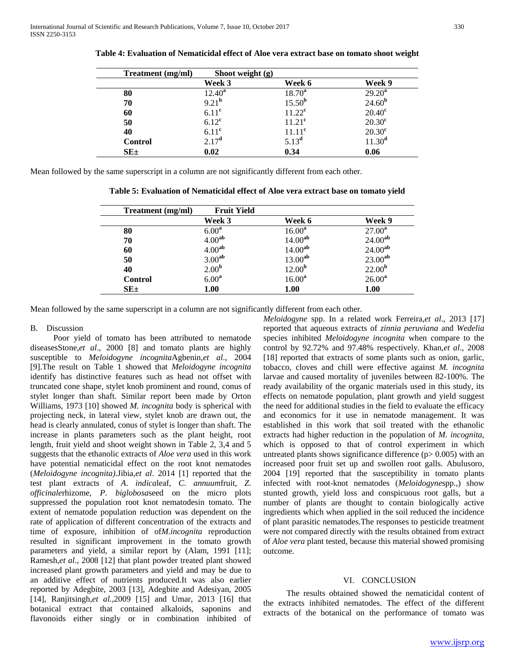| Treatment (mg/ml) | Shoot weight $(g)$ |                    |                 |
|-------------------|--------------------|--------------------|-----------------|
|                   | Week 3             | Week 6             | Week 9          |
| 80                | $12.40^a$          | $18.70^a$          | $29.20^a$       |
| 70                | 9.21 <sup>b</sup>  | $15.50^{b}$        | $24.60^{b}$     |
| 60                | 6.11 <sup>c</sup>  | $11.22^{\rm c}$    | $20.40^{\circ}$ |
| 50                | $6.12^{\text{c}}$  | 11.21 <sup>c</sup> | $20.30^{\circ}$ |
| 40                | $6.11^{\circ}$     | $11.11^c$          | $20.30^{\circ}$ |
| Control           | 2.17 <sup>d</sup>  | $5.13^{d}$         | $11.30^d$       |
| $SE_{\pm}$        | 0.02               | 0.34               | 0.06            |

**Table 4: Evaluation of Nematicidal effect of Aloe vera extract base on tomato shoot weight**

Mean followed by the same superscript in a column are not significantly different from each other.

**Table 5: Evaluation of Nematicidal effect of Aloe vera extract base on tomato yield**

| Treatment (mg/ml) | <b>Fruit Yield</b> |                     |                     |
|-------------------|--------------------|---------------------|---------------------|
|                   | Week 3             | Week 6              | Week 9              |
| 80                | 6.00 <sup>a</sup>  | $16.00^{\rm a}$     | $27.00^a$           |
| 70                | 4.00 <sup>ab</sup> | $14.00^{ab}$        | $24.00^{ab}$        |
| 60                | 4.00 <sup>ab</sup> | $14.00^{ab}$        | $24.00^{ab}$        |
| 50                | 3.00 <sup>ab</sup> | 13.00 <sup>ab</sup> | 23.00 <sup>ab</sup> |
| 40                | 2.00 <sup>b</sup>  | 12.00 <sup>b</sup>  | 22.00 <sup>b</sup>  |
| <b>Control</b>    | 6.00 <sup>a</sup>  | $16.00^a$           | $26.00^a$           |
| $SE_{\pm}$        | 1.00               | 1.00                | 1.00                |

Mean followed by the same superscript in a column are not significantly different from each other.

# B. Discussion

 Poor yield of tomato has been attributed to nematode diseasesStone,*et al*., 2000 [8] and tomato plants are highly susceptible to *Meloidogyne incognita*Agbenin,*et al*., 2004 [9].The result on Table 1 showed that *Meloidogyne incognita* identify has distinctive features such as head not offset with truncated cone shape, stylet knob prominent and round, conus of stylet longer than shaft. Similar report been made by Orton Williams, 1973 [10] showed *M. incognita* body is spherical with projecting neck, in lateral view, stylet knob are drawn out, the head is clearly annulated, conus of stylet is longer than shaft. The increase in plants parameters such as the plant height, root length, fruit yield and shoot weight shown in Table 2, 3,4 and 5 suggests that the ethanolic extracts of *Aloe vera* used in this work have potential nematicidal effect on the root knot nematodes (*Meloidogyne incognita)*.Jibia,*et al*. 2014 [1] reported that the test plant extracts of *A*. *indica*leaf, *C*. *annuum*fruit, *Z*. *officinale*rhizome, *P*. *biglobosa*seed on the micro plots suppressed the population root knot nematodesin tomato. The extent of nematode population reduction was dependent on the rate of application of different concentration of the extracts and time of exposure, inhibition of of*M.incognita* reproduction resulted in significant improvement in the tomato growth parameters and yield, a similar report by (Alam, 1991 [11]; Ramesh,*et al*., 2008 [12] that plant powder treated plant showed increased plant growth parameters and yield and may be due to an additive effect of nutrients produced.It was also earlier reported by Adegbite, 2003 [13], Adegbite and Adesiyan, 2005 [14], Ranjitsingh,*et al.,*2009 [15] and Umar, 2013 [16] that botanical extract that contained alkaloids, saponins and flavonoids either singly or in combination inhibited of *Meloidogyne* spp. In a related work Ferreira,*et al*., 2013 [17] reported that aqueous extracts of *zinnia peruviana* and *Wedelia* species inhibited *Meloidogyne incognita* when compare to the control by 92.72% and 97.48% respectively. Khan,*et al*., 2008 [18] reported that extracts of some plants such as onion, garlic, tobacco, cloves and chill were effective against *M. incognita*  larvae and caused mortality of juveniles between 82-100%. The ready availability of the organic materials used in this study, its effects on nematode population, plant growth and yield suggest the need for additional studies in the field to evaluate the efficacy and economics for it use in nematode management. It was established in this work that soil treated with the ethanolic extracts had higher reduction in the population of *M*. *incognita*, which is opposed to that of control experiment in which untreated plants shows significance difference  $(p > 0.005)$  with an increased poor fruit set up and swollen root galls. Abulusoro, 2004 [19] reported that the susceptibility in tomato plants infected with root-knot nematodes (*Meloidogyne*spp.,) show stunted growth, yield loss and conspicuous root galls, but a number of plants are thought to contain biologically active ingredients which when applied in the soil reduced the incidence of plant parasitic nematodes.The responses to pesticide treatment were not compared directly with the results obtained from extract of *Aloe vera* plant tested, because this material showed promising outcome.

# VI. CONCLUSION

 The results obtained showed the nematicidal content of the extracts inhibited nematodes. The effect of the different extracts of the botanical on the performance of tomato was